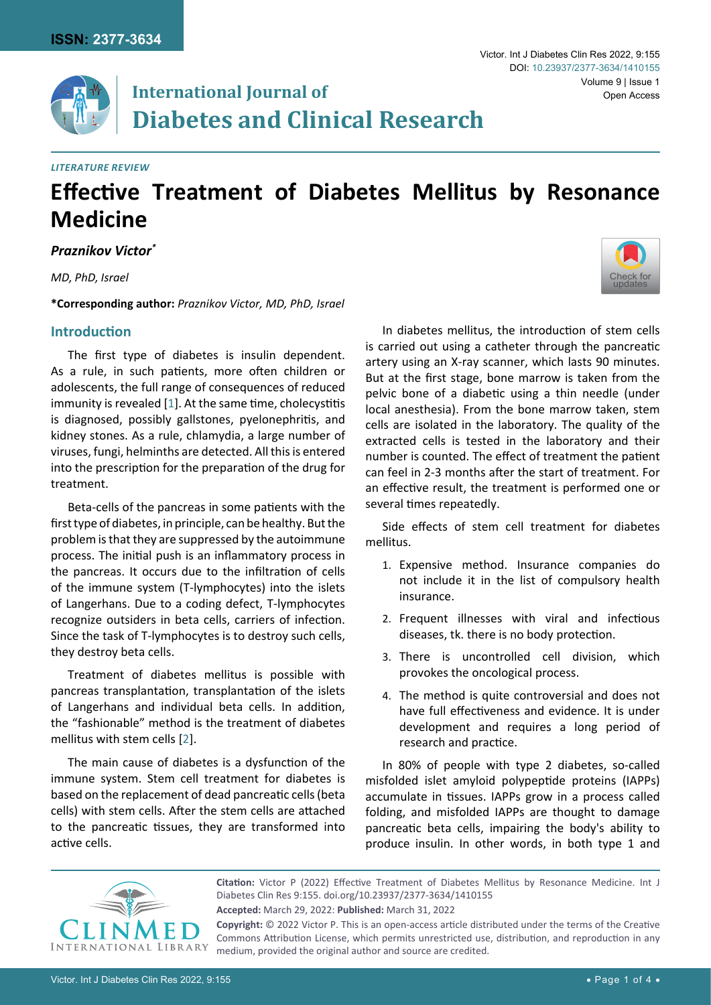## **International Journal of Diabetes and Clinical Research**

#### *Literature Review*

# **Effective Treatment of Diabetes Mellitus by Resonance Medicine**

*Praznikov Victor\**

*MD, PhD, Israel*

**\*Corresponding author:** *Praznikov Victor, MD, PhD, Israel*

## **Introduction**

The first type of diabetes is insulin dependent. As a rule, in such patients, more often children or adolescents, the full range of consequences of reduced immunity is revealed [[1](#page-3-0)]. At the same time, cholecystitis is diagnosed, possibly gallstones, pyelonephritis, and kidney stones. As a rule, chlamydia, a large number of viruses, fungi, helminths are detected. All this is entered into the prescription for the preparation of the drug for treatment.

Beta-cells of the pancreas in some patients with the first type of diabetes, in principle, can be healthy. But the problem is that they are suppressed by the autoimmune process. The initial push is an inflammatory process in the pancreas. It occurs due to the infiltration of cells of the immune system (T-lymphocytes) into the islets of Langerhans. Due to a coding defect, T-lymphocytes recognize outsiders in beta cells, carriers of infection. Since the task of T-lymphocytes is to destroy such cells, they destroy beta cells.

Treatment of diabetes mellitus is possible with pancreas transplantation, transplantation of the islets of Langerhans and individual beta cells. In addition, the "fashionable" method is the treatment of diabetes mellitus with stem cells [[2](#page-3-1)].

The main cause of diabetes is a dysfunction of the immune system. Stem cell treatment for diabetes is based on the replacement of dead pancreatic cells (beta cells) with stem cells. After the stem cells are attached to the pancreatic tissues, they are transformed into active cells.

In diabetes mellitus, the introduction of stem cells is carried out using a catheter through the pancreatic artery using an X-ray scanner, which lasts 90 minutes. But at the first stage, bone marrow is taken from the pelvic bone of a diabetic using a thin needle (under local anesthesia). From the bone marrow taken, stem cells are isolated in the laboratory. The quality of the extracted cells is tested in the laboratory and their number is counted. The effect of treatment the patient can feel in 2-3 months after the start of treatment. For an effective result, the treatment is performed one or several times repeatedly.

Side effects of stem cell treatment for diabetes mellitus.

- 1. Expensive method. Insurance companies do not include it in the list of compulsory health insurance.
- 2. Frequent illnesses with viral and infectious diseases, tk. there is no body protection.
- 3. There is uncontrolled cell division, which provokes the oncological process.
- 4. The method is quite controversial and does not have full effectiveness and evidence. It is under development and requires a long period of research and practice.

In 80% of people with type 2 diabetes, so-called misfolded islet amyloid polypeptide proteins (IAPPs) accumulate in tissues. IAPPs grow in a process called folding, and misfolded IAPPs are thought to damage pancreatic beta cells, impairing the body's ability to produce insulin. In other words, in both type 1 and



**Citation:** Victor P (2022) Effective Treatment of Diabetes Mellitus by Resonance Medicine. Int J Diabetes Clin Res 9:155. [doi.org/10.23937/2377-3634/1410155](https://doi.org/10.23937/2377-3634/1410155) **Accepted:** March 29, 2022: **Published:** March 31, 2022 **Copyright:** © 2022 Victor P. This is an open-access article distributed under the terms of the Creative

Commons Attribution License, which permits unrestricted use, distribution, and reproduction in any medium, provided the original author and source are credited.

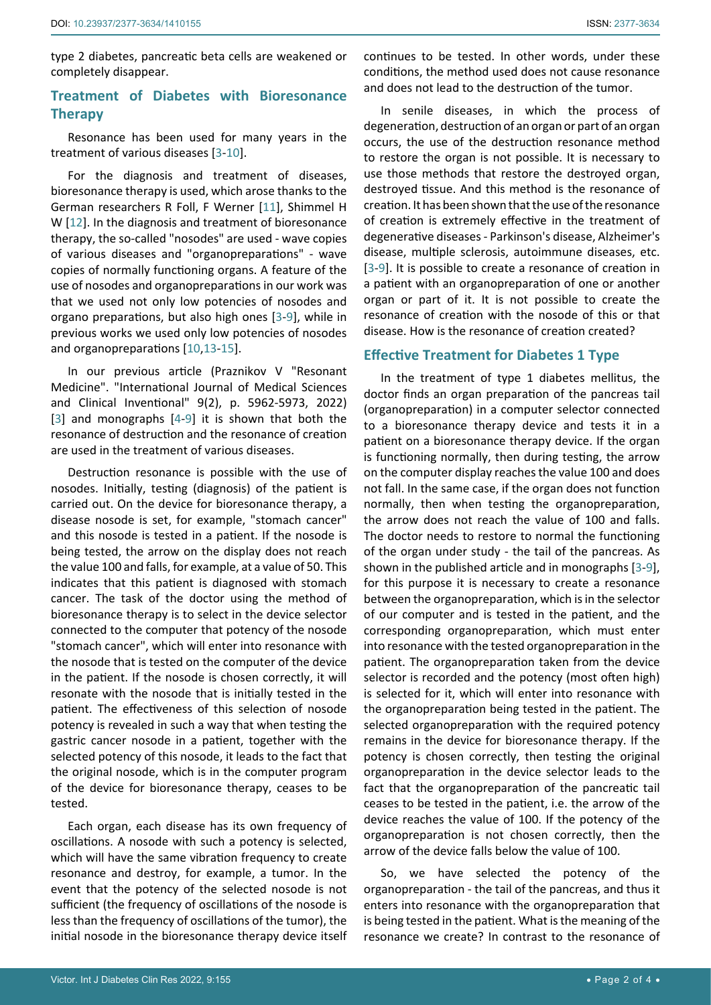type 2 diabetes, pancreatic beta cells are weakened or completely disappear.

## **Treatment of Diabetes with Bioresonance Therapy**

Resonance has been used for many years in the treatment of various diseases [[3](#page-3-2)-[10\]](#page-3-4).

For the diagnosis and treatment of diseases, bioresonance therapy is used, which arose thanks to the German researchers R Foll, F Werner [\[11](#page-3-5)], Shimmel H W [\[12](#page-3-6)]. In the diagnosis and treatment of bioresonance therapy, the so-called "nosodes" are used - wave copies of various diseases and "organopreparations" - wave copies of normally functioning organs. A feature of the use of nosodes and organopreparations in our work was that we used not only low potencies of nosodes and organo preparations, but also high ones [[3](#page-3-2)-[9](#page-3-3)], while in previous works we used only low potencies of nosodes and organopreparations [[10,](#page-3-4)[13-](#page-3-7)[15](#page-3-8)].

In our previous article (Praznikov V "Resonant Medicine". "International Journal of Medical Sciences and Clinical Inventional" 9(2), p. 5962-5973, 2022) [[3](#page-3-2)] and monographs [\[4-](#page-3-9)[9\]](#page-3-3) it is shown that both the resonance of destruction and the resonance of creation are used in the treatment of various diseases.

Destruction resonance is possible with the use of nosodes. Initially, testing (diagnosis) of the patient is carried out. On the device for bioresonance therapy, a disease nosode is set, for example, "stomach cancer" and this nosode is tested in a patient. If the nosode is being tested, the arrow on the display does not reach the value 100 and falls, for example, at a value of 50. This indicates that this patient is diagnosed with stomach cancer. The task of the doctor using the method of bioresonance therapy is to select in the device selector connected to the computer that potency of the nosode "stomach cancer", which will enter into resonance with the nosode that is tested on the computer of the device in the patient. If the nosode is chosen correctly, it will resonate with the nosode that is initially tested in the patient. The effectiveness of this selection of nosode potency is revealed in such a way that when testing the gastric cancer nosode in a patient, together with the selected potency of this nosode, it leads to the fact that the original nosode, which is in the computer program of the device for bioresonance therapy, ceases to be tested.

Each organ, each disease has its own frequency of oscillations. A nosode with such a potency is selected, which will have the same vibration frequency to create resonance and destroy, for example, a tumor. In the event that the potency of the selected nosode is not sufficient (the frequency of oscillations of the nosode is less than the frequency of oscillations of the tumor), the initial nosode in the bioresonance therapy device itself continues to be tested. In other words, under these conditions, the method used does not cause resonance and does not lead to the destruction of the tumor.

In senile diseases, in which the process of degeneration, destruction of an organ or part of an organ occurs, the use of the destruction resonance method to restore the organ is not possible. It is necessary to use those methods that restore the destroyed organ, destroyed tissue. And this method is the resonance of creation. It has been shown that the use of the resonance of creation is extremely effective in the treatment of degenerative diseases - Parkinson's disease, Alzheimer's disease, multiple sclerosis, autoimmune diseases, etc. [\[3-](#page-3-2)[9\]](#page-3-3). It is possible to create a resonance of creation in a patient with an organopreparation of one or another organ or part of it. It is not possible to create the resonance of creation with the nosode of this or that disease. How is the resonance of creation created?

### **Effective Treatment for Diabetes 1 Type**

In the treatment of type 1 diabetes mellitus, the doctor finds an organ preparation of the pancreas tail (organopreparation) in a computer selector connected to a bioresonance therapy device and tests it in a patient on a bioresonance therapy device. If the organ is functioning normally, then during testing, the arrow on the computer display reaches the value 100 and does not fall. In the same case, if the organ does not function normally, then when testing the organopreparation, the arrow does not reach the value of 100 and falls. The doctor needs to restore to normal the functioning of the organ under study - the tail of the pancreas. As shown in the published article and in monographs [\[3-](#page-3-2)[9\]](#page-3-3), for this purpose it is necessary to create a resonance between the organopreparation, which is in the selector of our computer and is tested in the patient, and the corresponding organopreparation, which must enter into resonance with the tested organopreparation in the patient. The organopreparation taken from the device selector is recorded and the potency (most often high) is selected for it, which will enter into resonance with the organopreparation being tested in the patient. The selected organopreparation with the required potency remains in the device for bioresonance therapy. If the potency is chosen correctly, then testing the original organopreparation in the device selector leads to the fact that the organopreparation of the pancreatic tail ceases to be tested in the patient, i.e. the arrow of the device reaches the value of 100. If the potency of the organopreparation is not chosen correctly, then the arrow of the device falls below the value of 100.

So, we have selected the potency of the organopreparation - the tail of the pancreas, and thus it enters into resonance with the organopreparation that is being tested in the patient. What is the meaning of the resonance we create? In contrast to the resonance of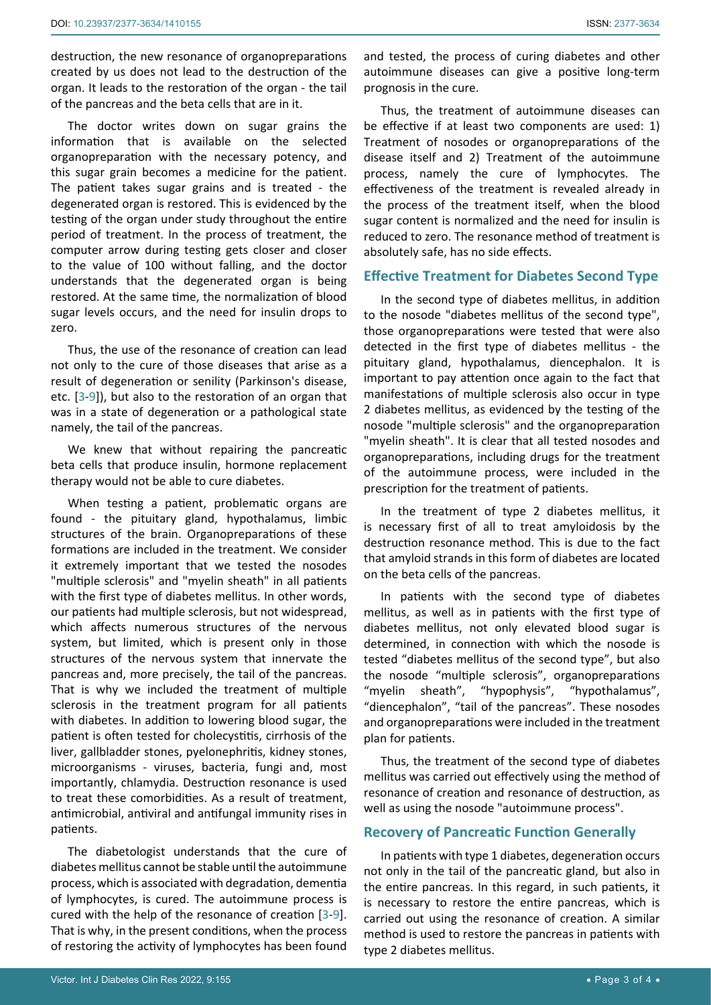destruction, the new resonance of organopreparations created by us does not lead to the destruction of the organ. It leads to the restoration of the organ - the tail of the pancreas and the beta cells that are in it.

The doctor writes down on sugar grains the information that is available on the selected organopreparation with the necessary potency, and this sugar grain becomes a medicine for the patient. The patient takes sugar grains and is treated - the degenerated organ is restored. This is evidenced by the testing of the organ under study throughout the entire period of treatment. In the process of treatment, the computer arrow during testing gets closer and closer to the value of 100 without falling, and the doctor understands that the degenerated organ is being restored. At the same time, the normalization of blood sugar levels occurs, and the need for insulin drops to zero.

Thus, the use of the resonance of creation can lead not only to the cure of those diseases that arise as a result of degeneration or senility (Parkinson's disease, etc. [[3](#page-3-2)-[9](#page-3-3)]), but also to the restoration of an organ that was in a state of degeneration or a pathological state namely, the tail of the pancreas.

We knew that without repairing the pancreatic beta cells that produce insulin, hormone replacement therapy would not be able to cure diabetes.

When testing a patient, problematic organs are found - the pituitary gland, hypothalamus, limbic structures of the brain. Organopreparations of these formations are included in the treatment. We consider it extremely important that we tested the nosodes "multiple sclerosis" and "myelin sheath" in all patients with the first type of diabetes mellitus. In other words, our patients had multiple sclerosis, but not widespread, which affects numerous structures of the nervous system, but limited, which is present only in those structures of the nervous system that innervate the pancreas and, more precisely, the tail of the pancreas. That is why we included the treatment of multiple sclerosis in the treatment program for all patients with diabetes. In addition to lowering blood sugar, the patient is often tested for cholecystitis, cirrhosis of the liver, gallbladder stones, pyelonephritis, kidney stones, microorganisms - viruses, bacteria, fungi and, most importantly, chlamydia. Destruction resonance is used to treat these comorbidities. As a result of treatment, antimicrobial, antiviral and antifungal immunity rises in patients.

The diabetologist understands that the cure of diabetes mellitus cannot be stable until the autoimmune process, which is associated with degradation, dementia of lymphocytes, is cured. The autoimmune process is cured with the help of the resonance of creation [[3](#page-3-2)-[9](#page-3-3)]. That is why, in the present conditions, when the process of restoring the activity of lymphocytes has been found

and tested, the process of curing diabetes and other autoimmune diseases can give a positive long-term prognosis in the cure.

Thus, the treatment of autoimmune diseases can be effective if at least two components are used: 1) Treatment of nosodes or organopreparations of the disease itself and 2) Treatment of the autoimmune process, namely the cure of lymphocytes. The effectiveness of the treatment is revealed already in the process of the treatment itself, when the blood sugar content is normalized and the need for insulin is reduced to zero. The resonance method of treatment is absolutely safe, has no side effects.

### **Effective Treatment for Diabetes Second Type**

In the second type of diabetes mellitus, in addition to the nosode "diabetes mellitus of the second type", those organopreparations were tested that were also detected in the first type of diabetes mellitus - the pituitary gland, hypothalamus, diencephalon. It is important to pay attention once again to the fact that manifestations of multiple sclerosis also occur in type 2 diabetes mellitus, as evidenced by the testing of the nosode "multiple sclerosis" and the organopreparation "myelin sheath". It is clear that all tested nosodes and organopreparations, including drugs for the treatment of the autoimmune process, were included in the prescription for the treatment of patients.

In the treatment of type 2 diabetes mellitus, it is necessary first of all to treat amyloidosis by the destruction resonance method. This is due to the fact that amyloid strands in this form of diabetes are located on the beta cells of the pancreas.

In patients with the second type of diabetes mellitus, as well as in patients with the first type of diabetes mellitus, not only elevated blood sugar is determined, in connection with which the nosode is tested "diabetes mellitus of the second type", but also the nosode "multiple sclerosis", organopreparations "myelin sheath", "hypophysis", "hypothalamus", "diencephalon", "tail of the pancreas". These nosodes and organopreparations were included in the treatment plan for patients.

Thus, the treatment of the second type of diabetes mellitus was carried out effectively using the method of resonance of creation and resonance of destruction, as well as using the nosode "autoimmune process".

#### **Recovery of Pancreatic Function Generally**

In patients with type 1 diabetes, degeneration occurs not only in the tail of the pancreatic gland, but also in the entire pancreas. In this regard, in such patients, it is necessary to restore the entire pancreas, which is carried out using the resonance of creation. A similar method is used to restore the pancreas in patients with type 2 diabetes mellitus.